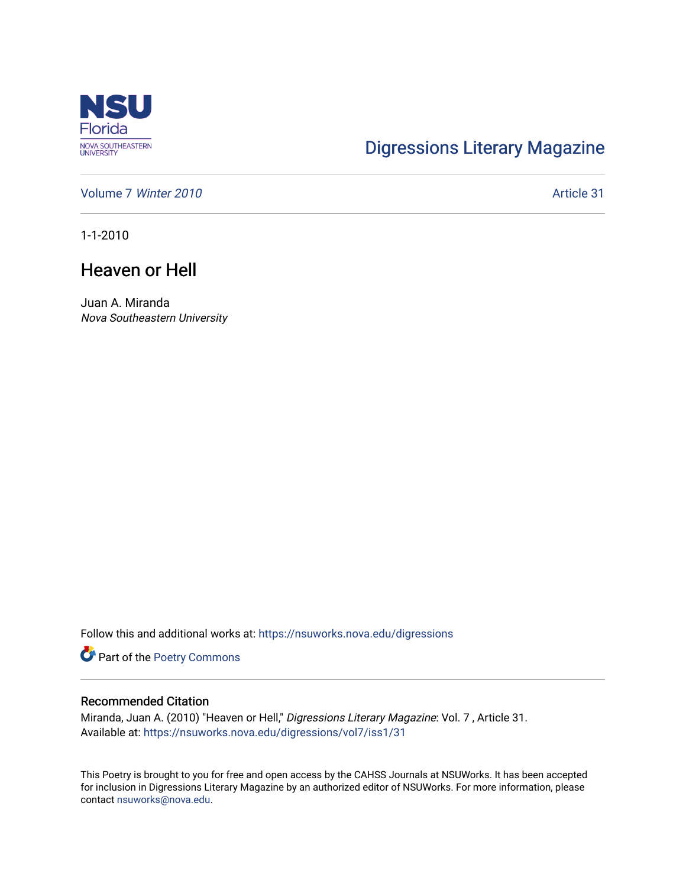

# [Digressions Literary Magazine](https://nsuworks.nova.edu/digressions)

[Volume 7](https://nsuworks.nova.edu/digressions/vol7) Winter 2010 **Article 31** Article 31

1-1-2010

## Heaven or Hell

Juan A. Miranda Nova Southeastern University

Follow this and additional works at: [https://nsuworks.nova.edu/digressions](https://nsuworks.nova.edu/digressions?utm_source=nsuworks.nova.edu%2Fdigressions%2Fvol7%2Fiss1%2F31&utm_medium=PDF&utm_campaign=PDFCoverPages) 

Part of the [Poetry Commons](http://network.bepress.com/hgg/discipline/1153?utm_source=nsuworks.nova.edu%2Fdigressions%2Fvol7%2Fiss1%2F31&utm_medium=PDF&utm_campaign=PDFCoverPages) 

#### Recommended Citation

Miranda, Juan A. (2010) "Heaven or Hell," Digressions Literary Magazine: Vol. 7, Article 31. Available at: [https://nsuworks.nova.edu/digressions/vol7/iss1/31](https://nsuworks.nova.edu/digressions/vol7/iss1/31?utm_source=nsuworks.nova.edu%2Fdigressions%2Fvol7%2Fiss1%2F31&utm_medium=PDF&utm_campaign=PDFCoverPages) 

This Poetry is brought to you for free and open access by the CAHSS Journals at NSUWorks. It has been accepted for inclusion in Digressions Literary Magazine by an authorized editor of NSUWorks. For more information, please contact [nsuworks@nova.edu.](mailto:nsuworks@nova.edu)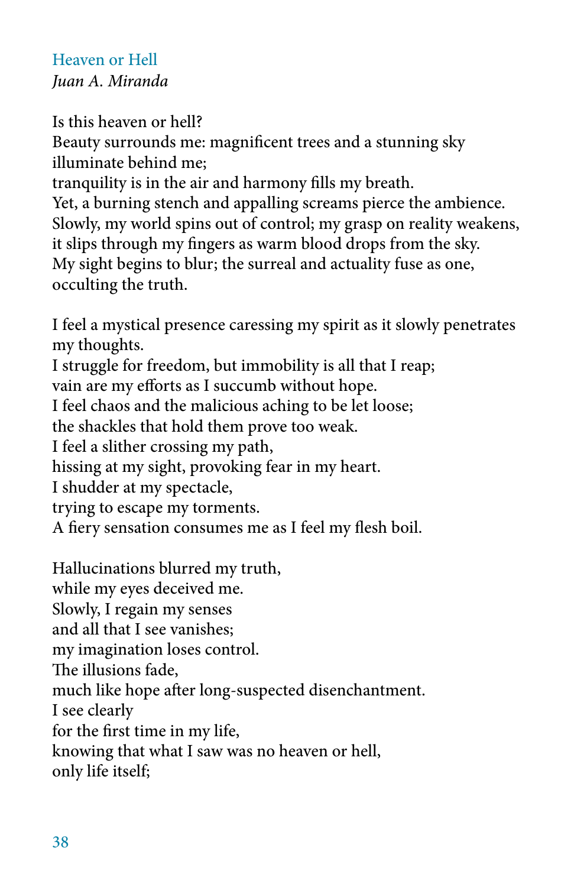## Heaven or Hell *Juan A. Miranda*

## Is this heaven or hell?

Beauty surrounds me: magnificent trees and a stunning sky illuminate behind me;

tranquility is in the air and harmony fills my breath.

Yet, a burning stench and appalling screams pierce the ambience. Slowly, my world spins out of control; my grasp on reality weakens, it slips through my fingers as warm blood drops from the sky. My sight begins to blur; the surreal and actuality fuse as one, occulting the truth.

I feel a mystical presence caressing my spirit as it slowly penetrates my thoughts. I struggle for freedom, but immobility is all that I reap; vain are my efforts as I succumb without hope. I feel chaos and the malicious aching to be let loose; the shackles that hold them prove too weak. I feel a slither crossing my path, hissing at my sight, provoking fear in my heart. I shudder at my spectacle, trying to escape my torments. A fiery sensation consumes me as I feel my flesh boil.

Hallucinations blurred my truth, while my eyes deceived me. Slowly, I regain my senses and all that I see vanishes; my imagination loses control. The illusions fade, much like hope after long-suspected disenchantment. I see clearly for the first time in my life, knowing that what I saw was no heaven or hell, only life itself;